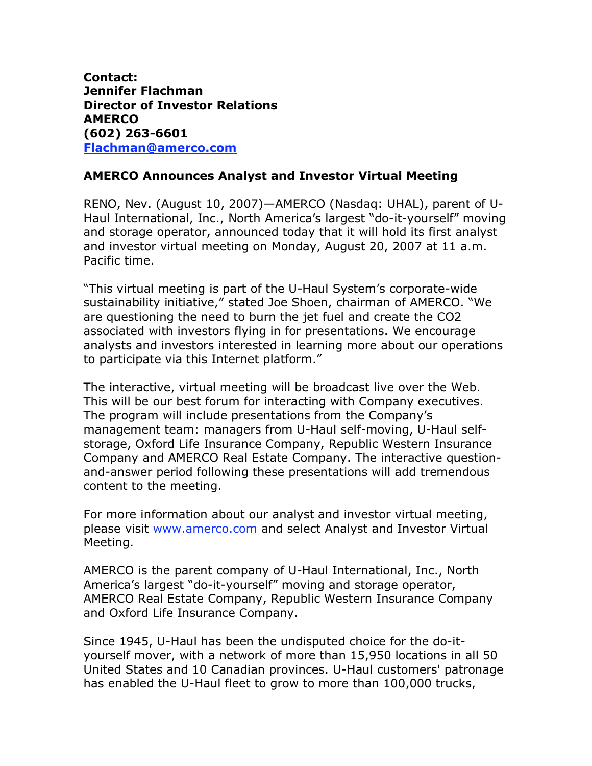**Contact: Jennifer Flachman Director of Investor Relations AMERCO (602) 263-6601 Flachman@amerco.com**

## **AMERCO Announces Analyst and Investor Virtual Meeting**

RENO, Nev. (August 10, 2007)—AMERCO (Nasdaq: UHAL), parent of U-Haul International, Inc., North America's largest "do-it-yourself" moving and storage operator, announced today that it will hold its first analyst and investor virtual meeting on Monday, August 20, 2007 at 11 a.m. Pacific time.

"This virtual meeting is part of the U-Haul System's corporate-wide sustainability initiative," stated Joe Shoen, chairman of AMERCO. "We are questioning the need to burn the jet fuel and create the CO2 associated with investors flying in for presentations. We encourage analysts and investors interested in learning more about our operations to participate via this Internet platform."

The interactive, virtual meeting will be broadcast live over the Web. This will be our best forum for interacting with Company executives. The program will include presentations from the Company's management team: managers from U-Haul self-moving, U-Haul selfstorage, Oxford Life Insurance Company, Republic Western Insurance Company and AMERCO Real Estate Company. The interactive questionand-answer period following these presentations will add tremendous content to the meeting.

For more information about our analyst and investor virtual meeting, please visit www.amerco.com and select Analyst and Investor Virtual Meeting.

AMERCO is the parent company of U-Haul International, Inc., North America's largest "do-it-yourself" moving and storage operator, AMERCO Real Estate Company, Republic Western Insurance Company and Oxford Life Insurance Company.

Since 1945, U-Haul has been the undisputed choice for the do-ityourself mover, with a network of more than 15,950 locations in all 50 United States and 10 Canadian provinces. U-Haul customers' patronage has enabled the U-Haul fleet to grow to more than 100,000 trucks,